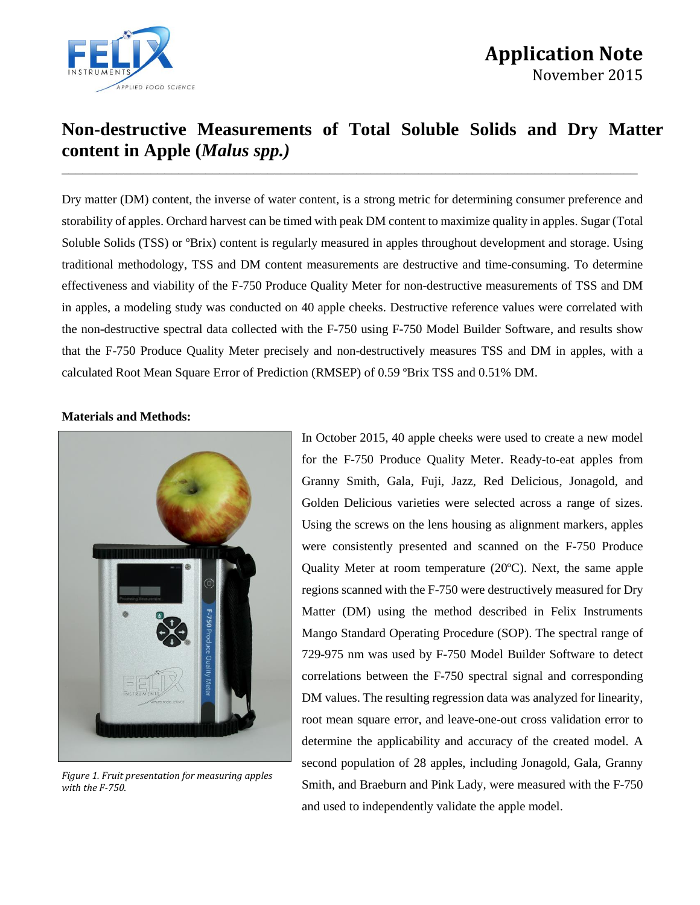

# **Non-destructive Measurements of Total Soluble Solids and Dry Matter content in Apple (***Malus spp.)* \_\_\_\_\_\_\_\_\_\_\_\_\_\_\_\_\_\_\_\_\_\_\_\_\_\_\_\_\_\_\_\_\_\_\_\_\_\_\_\_\_\_\_\_\_\_\_\_\_\_\_\_\_\_\_\_\_\_\_\_\_\_\_\_\_\_\_\_\_\_\_\_\_\_\_\_\_\_\_\_\_\_\_\_

Dry matter (DM) content, the inverse of water content, is a strong metric for determining consumer preference and storability of apples. Orchard harvest can be timed with peak DM content to maximize quality in apples. Sugar (Total Soluble Solids (TSS) or ºBrix) content is regularly measured in apples throughout development and storage. Using traditional methodology, TSS and DM content measurements are destructive and time-consuming. To determine effectiveness and viability of the F-750 Produce Quality Meter for non-destructive measurements of TSS and DM in apples, a modeling study was conducted on 40 apple cheeks. Destructive reference values were correlated with the non-destructive spectral data collected with the F-750 using F-750 Model Builder Software, and results show that the F-750 Produce Quality Meter precisely and non-destructively measures TSS and DM in apples, with a calculated Root Mean Square Error of Prediction (RMSEP) of 0.59 ºBrix TSS and 0.51% DM.

#### **Materials and Methods:**



*Figure 1. Fruit presentation for measuring apples with the F-750.*

In October 2015, 40 apple cheeks were used to create a new model for the F-750 Produce Quality Meter. Ready-to-eat apples from Granny Smith, Gala, Fuji, Jazz, Red Delicious, Jonagold, and Golden Delicious varieties were selected across a range of sizes. Using the screws on the lens housing as alignment markers, apples were consistently presented and scanned on the F-750 Produce Quality Meter at room temperature (20ºC). Next, the same apple regions scanned with the F-750 were destructively measured for Dry Matter (DM) using the method described in Felix Instruments Mango Standard Operating Procedure (SOP). The spectral range of 729-975 nm was used by F-750 Model Builder Software to detect correlations between the F-750 spectral signal and corresponding DM values. The resulting regression data was analyzed for linearity, root mean square error, and leave-one-out cross validation error to determine the applicability and accuracy of the created model. A second population of 28 apples, including Jonagold, Gala, Granny Smith, and Braeburn and Pink Lady, were measured with the F-750 and used to independently validate the apple model.